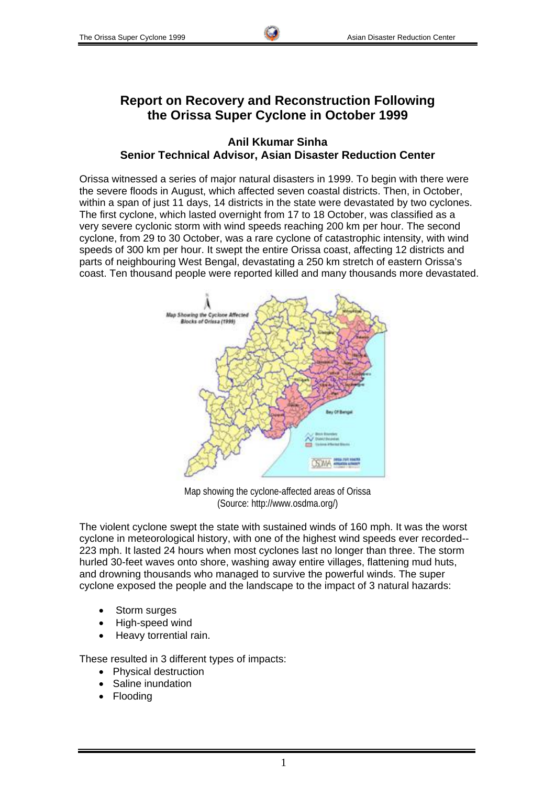# **Report on Recovery and Reconstruction Following the Orissa Super Cyclone in October 1999**

#### **Anil Kkumar Sinha Senior Technical Advisor, Asian Disaster Reduction Center**

Orissa witnessed a series of major natural disasters in 1999. To begin with there were the severe floods in August, which affected seven coastal districts. Then, in October, within a span of just 11 days, 14 districts in the state were devastated by two cyclones. The first cyclone, which lasted overnight from 17 to 18 October, was classified as a very severe cyclonic storm with wind speeds reaching 200 km per hour. The second cyclone, from 29 to 30 October, was a rare cyclone of catastrophic intensity, with wind speeds of 300 km per hour. It swept the entire Orissa coast, affecting 12 districts and parts of neighbouring West Bengal, devastating a 250 km stretch of eastern Orissa's coast. Ten thousand people were reported killed and many thousands more devastated.



Map showing the cyclone-affected areas of Orissa (Source: http://www.osdma.org/)

The violent cyclone swept the state with sustained winds of 160 mph. It was the worst cyclone in meteorological history, with one of the highest wind speeds ever recorded-- 223 mph. It lasted 24 hours when most cyclones last no longer than three. The storm hurled 30-feet waves onto shore, washing away entire villages, flattening mud huts, and drowning thousands who managed to survive the powerful winds. The super cyclone exposed the people and the landscape to the impact of 3 natural hazards:

- Storm surges
- High-speed wind
- Heavy torrential rain.

These resulted in 3 different types of impacts:

- Physical destruction
- Saline inundation
- Flooding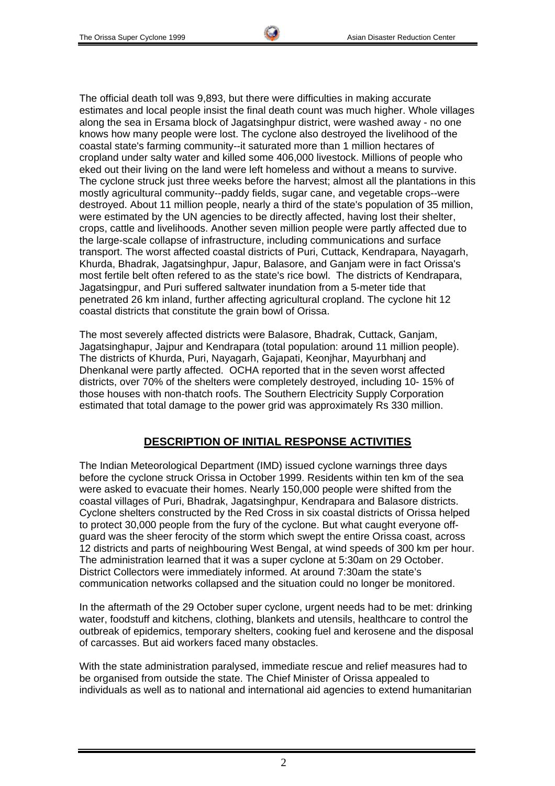The official death toll was 9,893, but there were difficulties in making accurate estimates and local people insist the final death count was much higher. Whole villages along the sea in Ersama block of Jagatsinghpur district, were washed away - no one knows how many people were lost. The cyclone also destroyed the livelihood of the coastal state's farming community--it saturated more than 1 million hectares of cropland under salty water and killed some 406,000 livestock. Millions of people who eked out their living on the land were left homeless and without a means to survive. The cyclone struck just three weeks before the harvest; almost all the plantations in this mostly agricultural community--paddy fields, sugar cane, and vegetable crops--were destroyed. About 11 million people, nearly a third of the state's population of 35 million, were estimated by the UN agencies to be directly affected, having lost their shelter, crops, cattle and livelihoods. Another seven million people were partly affected due to the large-scale collapse of infrastructure, including communications and surface transport. The worst affected coastal districts of Puri, Cuttack, Kendrapara, Nayagarh, Khurda, Bhadrak, Jagatsinghpur, Japur, Balasore, and Ganjam were in fact Orissa's most fertile belt often refered to as the state's rice bowl. The districts of Kendrapara, Jagatsingpur, and Puri suffered saltwater inundation from a 5-meter tide that penetrated 26 km inland, further affecting agricultural cropland. The cyclone hit 12 coastal districts that constitute the grain bowl of Orissa.

The most severely affected districts were Balasore, Bhadrak, Cuttack, Ganjam, Jagatsinghapur, Jajpur and Kendrapara (total population: around 11 million people). The districts of Khurda, Puri, Nayagarh, Gajapati, Keonjhar, Mayurbhanj and Dhenkanal were partly affected. OCHA reported that in the seven worst affected districts, over 70% of the shelters were completely destroyed, including 10- 15% of those houses with non-thatch roofs. The Southern Electricity Supply Corporation estimated that total damage to the power grid was approximately Rs 330 million.

### **DESCRIPTION OF INITIAL RESPONSE ACTIVITIES**

The Indian Meteorological Department (IMD) issued cyclone warnings three days before the cyclone struck Orissa in October 1999. Residents within ten km of the sea were asked to evacuate their homes. Nearly 150,000 people were shifted from the coastal villages of Puri, Bhadrak, Jagatsinghpur, Kendrapara and Balasore districts. Cyclone shelters constructed by the Red Cross in six coastal districts of Orissa helped to protect 30,000 people from the fury of the cyclone. But what caught everyone offguard was the sheer ferocity of the storm which swept the entire Orissa coast, across 12 districts and parts of neighbouring West Bengal, at wind speeds of 300 km per hour. The administration learned that it was a super cyclone at 5:30am on 29 October. District Collectors were immediately informed. At around 7:30am the state's communication networks collapsed and the situation could no longer be monitored.

In the aftermath of the 29 October super cyclone, urgent needs had to be met: drinking water, foodstuff and kitchens, clothing, blankets and utensils, healthcare to control the outbreak of epidemics, temporary shelters, cooking fuel and kerosene and the disposal of carcasses. But aid workers faced many obstacles.

With the state administration paralysed, immediate rescue and relief measures had to be organised from outside the state. The Chief Minister of Orissa appealed to individuals as well as to national and international aid agencies to extend humanitarian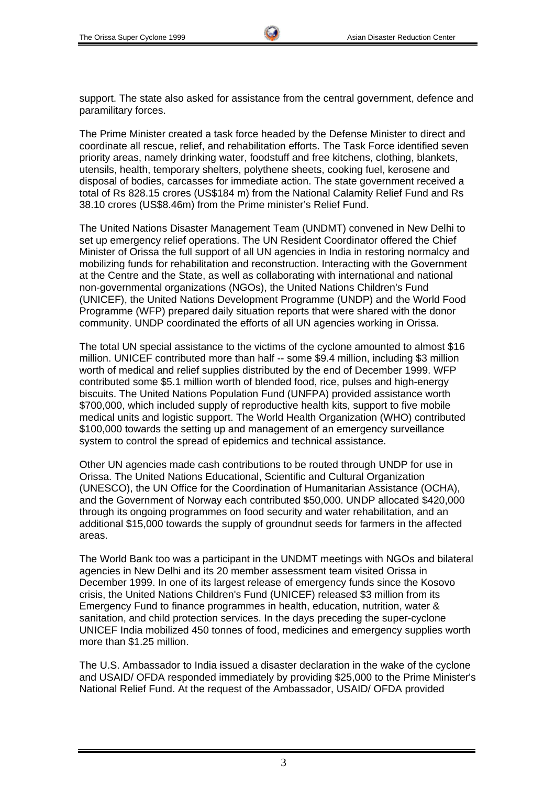support. The state also asked for assistance from the central government, defence and paramilitary forces.

The Prime Minister created a task force headed by the Defense Minister to direct and coordinate all rescue, relief, and rehabilitation efforts. The Task Force identified seven priority areas, namely drinking water, foodstuff and free kitchens, clothing, blankets, utensils, health, temporary shelters, polythene sheets, cooking fuel, kerosene and disposal of bodies, carcasses for immediate action. The state government received a total of Rs 828.15 crores (US\$184 m) from the National Calamity Relief Fund and Rs 38.10 crores (US\$8.46m) from the Prime minister's Relief Fund.

The United Nations Disaster Management Team (UNDMT) convened in New Delhi to set up emergency relief operations. The UN Resident Coordinator offered the Chief Minister of Orissa the full support of all UN agencies in India in restoring normalcy and mobilizing funds for rehabilitation and reconstruction. Interacting with the Government at the Centre and the State, as well as collaborating with international and national non-governmental organizations (NGOs), the United Nations Children's Fund (UNICEF), the United Nations Development Programme (UNDP) and the World Food Programme (WFP) prepared daily situation reports that were shared with the donor community. UNDP coordinated the efforts of all UN agencies working in Orissa.

The total UN special assistance to the victims of the cyclone amounted to almost \$16 million. UNICEF contributed more than half -- some \$9.4 million, including \$3 million worth of medical and relief supplies distributed by the end of December 1999. WFP contributed some \$5.1 million worth of blended food, rice, pulses and high-energy biscuits. The United Nations Population Fund (UNFPA) provided assistance worth \$700,000, which included supply of reproductive health kits, support to five mobile medical units and logistic support. The World Health Organization (WHO) contributed \$100,000 towards the setting up and management of an emergency surveillance system to control the spread of epidemics and technical assistance.

Other UN agencies made cash contributions to be routed through UNDP for use in Orissa. The United Nations Educational, Scientific and Cultural Organization (UNESCO), the UN Office for the Coordination of Humanitarian Assistance (OCHA), and the Government of Norway each contributed \$50,000. UNDP allocated \$420,000 through its ongoing programmes on food security and water rehabilitation, and an additional \$15,000 towards the supply of groundnut seeds for farmers in the affected areas.

The World Bank too was a participant in the UNDMT meetings with NGOs and bilateral agencies in New Delhi and its 20 member assessment team visited Orissa in December 1999. In one of its largest release of emergency funds since the Kosovo crisis, the United Nations Children's Fund (UNICEF) released \$3 million from its Emergency Fund to finance programmes in health, education, nutrition, water & sanitation, and child protection services. In the days preceding the super-cyclone UNICEF India mobilized 450 tonnes of food, medicines and emergency supplies worth more than \$1.25 million.

The U.S. Ambassador to India issued a disaster declaration in the wake of the cyclone and USAID/ OFDA responded immediately by providing \$25,000 to the Prime Minister's National Relief Fund. At the request of the Ambassador, USAID/ OFDA provided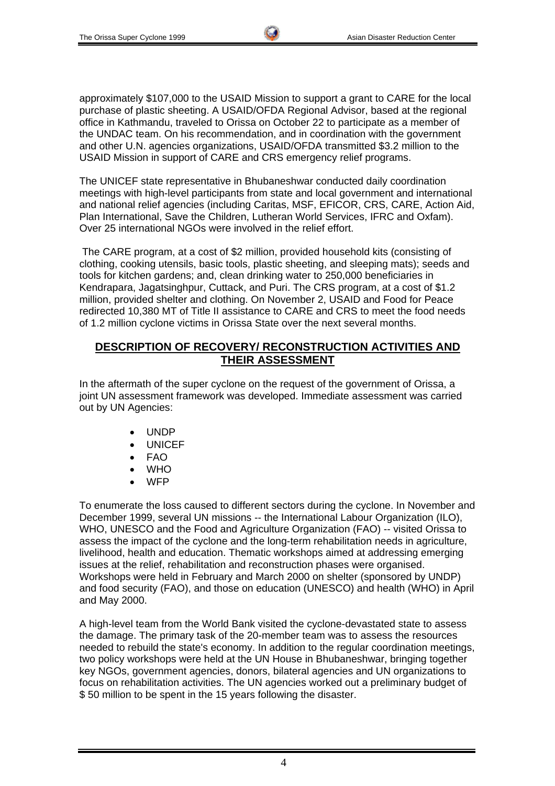approximately \$107,000 to the USAID Mission to support a grant to CARE for the local purchase of plastic sheeting. A USAID/OFDA Regional Advisor, based at the regional office in Kathmandu, traveled to Orissa on October 22 to participate as a member of the UNDAC team. On his recommendation, and in coordination with the government and other U.N. agencies organizations, USAID/OFDA transmitted \$3.2 million to the USAID Mission in support of CARE and CRS emergency relief programs.

The UNICEF state representative in Bhubaneshwar conducted daily coordination meetings with high-level participants from state and local government and international and national relief agencies (including Caritas, MSF, EFICOR, CRS, CARE, Action Aid, Plan International, Save the Children, Lutheran World Services, IFRC and Oxfam). Over 25 international NGOs were involved in the relief effort.

 The CARE program, at a cost of \$2 million, provided household kits (consisting of clothing, cooking utensils, basic tools, plastic sheeting, and sleeping mats); seeds and tools for kitchen gardens; and, clean drinking water to 250,000 beneficiaries in Kendrapara, Jagatsinghpur, Cuttack, and Puri. The CRS program, at a cost of \$1.2 million, provided shelter and clothing. On November 2, USAID and Food for Peace redirected 10,380 MT of Title II assistance to CARE and CRS to meet the food needs of 1.2 million cyclone victims in Orissa State over the next several months.

#### **DESCRIPTION OF RECOVERY/ RECONSTRUCTION ACTIVITIES AND THEIR ASSESSMENT**

In the aftermath of the super cyclone on the request of the government of Orissa, a joint UN assessment framework was developed. Immediate assessment was carried out by UN Agencies:

- UNDP
- **UNICEF**
- FAO
- WHO
- WFP

To enumerate the loss caused to different sectors during the cyclone. In November and December 1999, several UN missions -- the International Labour Organization (ILO), WHO, UNESCO and the Food and Agriculture Organization (FAO) -- visited Orissa to assess the impact of the cyclone and the long-term rehabilitation needs in agriculture, livelihood, health and education. Thematic workshops aimed at addressing emerging issues at the relief, rehabilitation and reconstruction phases were organised. Workshops were held in February and March 2000 on shelter (sponsored by UNDP) and food security (FAO), and those on education (UNESCO) and health (WHO) in April and May 2000.

A high-level team from the World Bank visited the cyclone-devastated state to assess the damage. The primary task of the 20-member team was to assess the resources needed to rebuild the state's economy. In addition to the regular coordination meetings, two policy workshops were held at the UN House in Bhubaneshwar, bringing together key NGOs, government agencies, donors, bilateral agencies and UN organizations to focus on rehabilitation activities. The UN agencies worked out a preliminary budget of \$ 50 million to be spent in the 15 years following the disaster.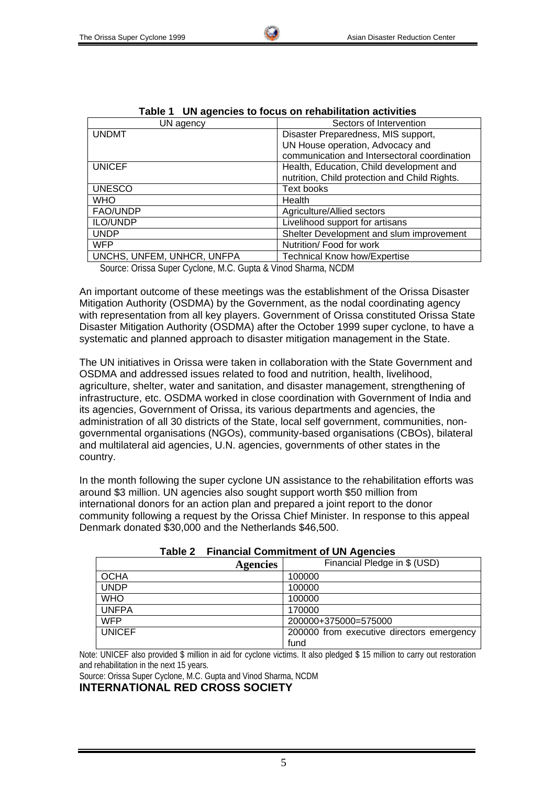| rapie i<br>ON agencies to locus on renabilitation activities |                                               |  |  |  |
|--------------------------------------------------------------|-----------------------------------------------|--|--|--|
| UN agency                                                    | Sectors of Intervention                       |  |  |  |
| <b>UNDMT</b>                                                 | Disaster Preparedness, MIS support,           |  |  |  |
|                                                              | UN House operation, Advocacy and              |  |  |  |
|                                                              | communication and Intersectoral coordination  |  |  |  |
| <b>UNICEF</b>                                                | Health, Education, Child development and      |  |  |  |
|                                                              | nutrition, Child protection and Child Rights. |  |  |  |
| <b>UNESCO</b>                                                | <b>Text books</b>                             |  |  |  |
| <b>WHO</b>                                                   | Health                                        |  |  |  |
| FAO/UNDP                                                     | Agriculture/Allied sectors                    |  |  |  |
| ILO/UNDP                                                     | Livelihood support for artisans               |  |  |  |
| <b>UNDP</b>                                                  | Shelter Development and slum improvement      |  |  |  |
| <b>WFP</b>                                                   | Nutrition/ Food for work                      |  |  |  |
| UNCHS, UNFEM, UNHCR, UNFPA                                   | <b>Technical Know how/Expertise</b>           |  |  |  |
|                                                              |                                               |  |  |  |

|  |  | Table 1 UN agencies to focus on rehabilitation activities |  |  |  |
|--|--|-----------------------------------------------------------|--|--|--|
|--|--|-----------------------------------------------------------|--|--|--|

Source: Orissa Super Cyclone, M.C. Gupta & Vinod Sharma, NCDM

An important outcome of these meetings was the establishment of the Orissa Disaster Mitigation Authority (OSDMA) by the Government, as the nodal coordinating agency with representation from all key players. Government of Orissa constituted Orissa State Disaster Mitigation Authority (OSDMA) after the October 1999 super cyclone, to have a systematic and planned approach to disaster mitigation management in the State.

The UN initiatives in Orissa were taken in collaboration with the State Government and OSDMA and addressed issues related to food and nutrition, health, livelihood, agriculture, shelter, water and sanitation, and disaster management, strengthening of infrastructure, etc. OSDMA worked in close coordination with Government of India and its agencies, Government of Orissa, its various departments and agencies, the administration of all 30 districts of the State, local self government, communities, nongovernmental organisations (NGOs), community-based organisations (CBOs), bilateral and multilateral aid agencies, U.N. agencies, governments of other states in the country.

In the month following the super cyclone UN assistance to the rehabilitation efforts was around \$3 million. UN agencies also sought support worth \$50 million from international donors for an action plan and prepared a joint report to the donor community following a request by the Orissa Chief Minister. In response to this appeal Denmark donated \$30,000 and the Netherlands \$46,500.

| <b>Agencies</b> | Financial Pledge in \$ (USD)              |
|-----------------|-------------------------------------------|
| <b>OCHA</b>     | 100000                                    |
| <b>UNDP</b>     | 100000                                    |
| <b>WHO</b>      | 100000                                    |
| <b>UNFPA</b>    | 170000                                    |
| <b>WFP</b>      | 200000+375000=575000                      |
| <b>UNICEF</b>   | 200000 from executive directors emergency |
|                 | fund                                      |

| Table 2 |  | <b>Financial Commitment of UN Agencies</b> |  |  |
|---------|--|--------------------------------------------|--|--|
|---------|--|--------------------------------------------|--|--|

Note: UNICEF also provided \$ million in aid for cyclone victims. It also pledged \$ 15 million to carry out restoration and rehabilitation in the next 15 years.

Source: Orissa Super Cyclone, M.C. Gupta and Vinod Sharma, NCDM

**INTERNATIONAL RED CROSS SOCIETY**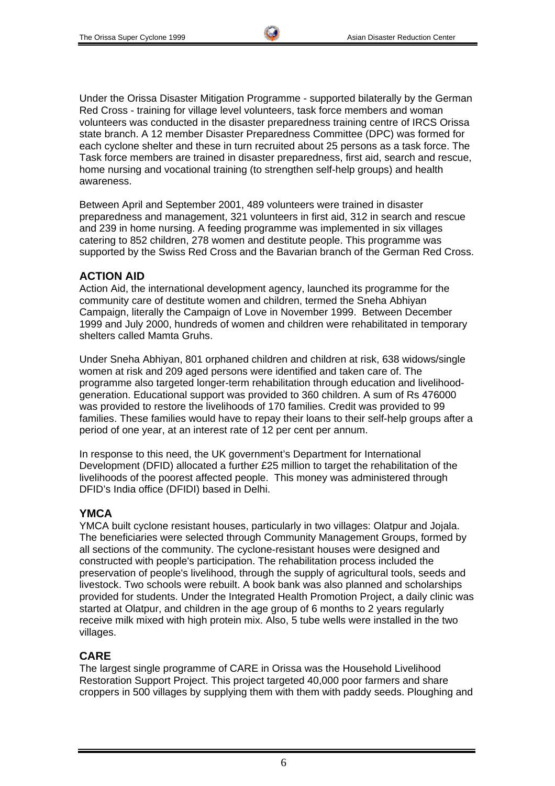Under the Orissa Disaster Mitigation Programme - supported bilaterally by the German Red Cross - training for village level volunteers, task force members and woman volunteers was conducted in the disaster preparedness training centre of IRCS Orissa state branch. A 12 member Disaster Preparedness Committee (DPC) was formed for each cyclone shelter and these in turn recruited about 25 persons as a task force. The Task force members are trained in disaster preparedness, first aid, search and rescue, home nursing and vocational training (to strengthen self-help groups) and health awareness.

Between April and September 2001, 489 volunteers were trained in disaster preparedness and management, 321 volunteers in first aid, 312 in search and rescue and 239 in home nursing. A feeding programme was implemented in six villages catering to 852 children, 278 women and destitute people. This programme was supported by the Swiss Red Cross and the Bavarian branch of the German Red Cross.

#### **ACTION AID**

Action Aid, the international development agency, launched its programme for the community care of destitute women and children, termed the Sneha Abhiyan Campaign, literally the Campaign of Love in November 1999. Between December 1999 and July 2000, hundreds of women and children were rehabilitated in temporary shelters called Mamta Gruhs.

Under Sneha Abhiyan, 801 orphaned children and children at risk, 638 widows/single women at risk and 209 aged persons were identified and taken care of. The programme also targeted longer-term rehabilitation through education and livelihoodgeneration. Educational support was provided to 360 children. A sum of Rs 476000 was provided to restore the livelihoods of 170 families. Credit was provided to 99 families. These families would have to repay their loans to their self-help groups after a period of one year, at an interest rate of 12 per cent per annum.

In response to this need, the UK government's Department for International Development (DFID) allocated a further £25 million to target the rehabilitation of the livelihoods of the poorest affected people. This money was administered through DFID's India office (DFIDI) based in Delhi.

#### **YMCA**

YMCA built cyclone resistant houses, particularly in two villages: Olatpur and Jojala. The beneficiaries were selected through Community Management Groups, formed by all sections of the community. The cyclone-resistant houses were designed and constructed with people's participation. The rehabilitation process included the preservation of people's livelihood, through the supply of agricultural tools, seeds and livestock. Two schools were rebuilt. A book bank was also planned and scholarships provided for students. Under the Integrated Health Promotion Project, a daily clinic was started at Olatpur, and children in the age group of 6 months to 2 years regularly receive milk mixed with high protein mix. Also, 5 tube wells were installed in the two villages.

### **CARE**

The largest single programme of CARE in Orissa was the Household Livelihood Restoration Support Project. This project targeted 40,000 poor farmers and share croppers in 500 villages by supplying them with them with paddy seeds. Ploughing and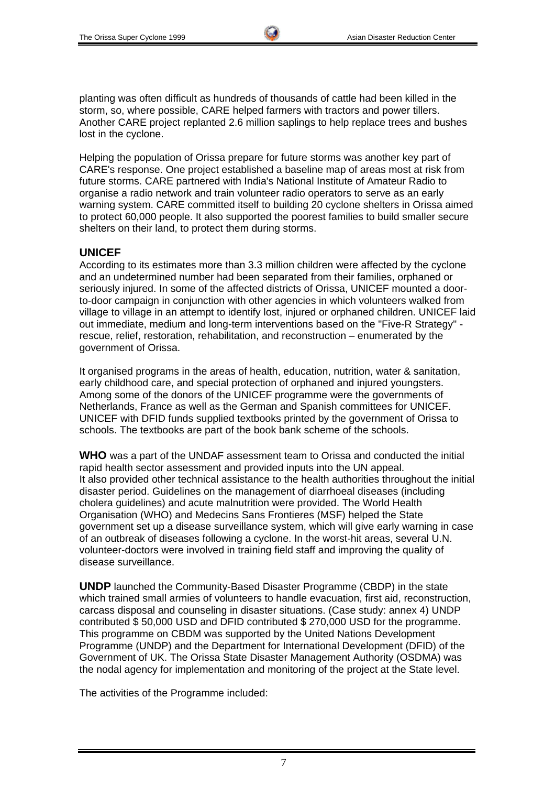planting was often difficult as hundreds of thousands of cattle had been killed in the storm, so, where possible, CARE helped farmers with tractors and power tillers. Another CARE project replanted 2.6 million saplings to help replace trees and bushes lost in the cyclone.

Helping the population of Orissa prepare for future storms was another key part of CARE's response. One project established a baseline map of areas most at risk from future storms. CARE partnered with India's National Institute of Amateur Radio to organise a radio network and train volunteer radio operators to serve as an early warning system. CARE committed itself to building 20 cyclone shelters in Orissa aimed to protect 60,000 people. It also supported the poorest families to build smaller secure shelters on their land, to protect them during storms.

### **UNICEF**

According to its estimates more than 3.3 million children were affected by the cyclone and an undetermined number had been separated from their families, orphaned or seriously injured. In some of the affected districts of Orissa, UNICEF mounted a doorto-door campaign in conjunction with other agencies in which volunteers walked from village to village in an attempt to identify lost, injured or orphaned children. UNICEF laid out immediate, medium and long-term interventions based on the "Five-R Strategy" rescue, relief, restoration, rehabilitation, and reconstruction – enumerated by the government of Orissa.

It organised programs in the areas of health, education, nutrition, water & sanitation, early childhood care, and special protection of orphaned and injured youngsters. Among some of the donors of the UNICEF programme were the governments of Netherlands, France as well as the German and Spanish committees for UNICEF. UNICEF with DFID funds supplied textbooks printed by the government of Orissa to schools. The textbooks are part of the book bank scheme of the schools.

**WHO** was a part of the UNDAF assessment team to Orissa and conducted the initial rapid health sector assessment and provided inputs into the UN appeal. It also provided other technical assistance to the health authorities throughout the initial disaster period. Guidelines on the management of diarrhoeal diseases (including cholera guidelines) and acute malnutrition were provided. The World Health Organisation (WHO) and Medecins Sans Frontieres (MSF) helped the State government set up a disease surveillance system, which will give early warning in case of an outbreak of diseases following a cyclone. In the worst-hit areas, several U.N. volunteer-doctors were involved in training field staff and improving the quality of disease surveillance.

**UNDP** launched the Community-Based Disaster Programme (CBDP) in the state which trained small armies of volunteers to handle evacuation, first aid, reconstruction, carcass disposal and counseling in disaster situations. (Case study: annex 4) UNDP contributed \$ 50,000 USD and DFID contributed \$ 270,000 USD for the programme. This programme on CBDM was supported by the United Nations Development Programme (UNDP) and the Department for International Development (DFID) of the Government of UK. The Orissa State Disaster Management Authority (OSDMA) was the nodal agency for implementation and monitoring of the project at the State level.

The activities of the Programme included: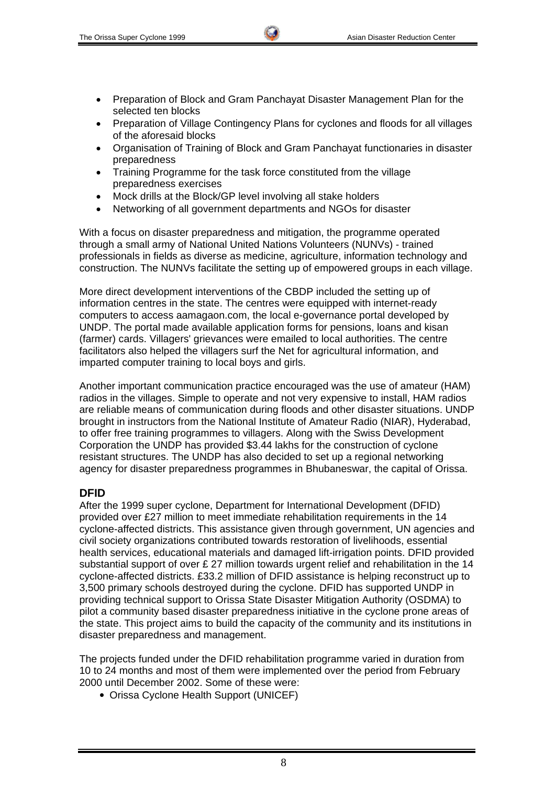- Preparation of Block and Gram Panchayat Disaster Management Plan for the selected ten blocks
- Preparation of Village Contingency Plans for cyclones and floods for all villages of the aforesaid blocks
- Organisation of Training of Block and Gram Panchayat functionaries in disaster preparedness
- Training Programme for the task force constituted from the village preparedness exercises
- Mock drills at the Block/GP level involving all stake holders
- Networking of all government departments and NGOs for disaster

With a focus on disaster preparedness and mitigation, the programme operated through a small army of National United Nations Volunteers (NUNVs) - trained professionals in fields as diverse as medicine, agriculture, information technology and construction. The NUNVs facilitate the setting up of empowered groups in each village.

More direct development interventions of the CBDP included the setting up of information centres in the state. The centres were equipped with internet-ready computers to access aamagaon.com, the local e-governance portal developed by UNDP. The portal made available application forms for pensions, loans and kisan (farmer) cards. Villagers' grievances were emailed to local authorities. The centre facilitators also helped the villagers surf the Net for agricultural information, and imparted computer training to local boys and girls.

Another important communication practice encouraged was the use of amateur (HAM) radios in the villages. Simple to operate and not very expensive to install, HAM radios are reliable means of communication during floods and other disaster situations. UNDP brought in instructors from the National Institute of Amateur Radio (NIAR), Hyderabad, to offer free training programmes to villagers. Along with the Swiss Development Corporation the UNDP has provided \$3.44 lakhs for the construction of cyclone resistant structures. The UNDP has also decided to set up a regional networking agency for disaster preparedness programmes in Bhubaneswar, the capital of Orissa.

### **DFID**

After the 1999 super cyclone, Department for International Development (DFID) provided over £27 million to meet immediate rehabilitation requirements in the 14 cyclone-affected districts. This assistance given through government, UN agencies and civil society organizations contributed towards restoration of livelihoods, essential health services, educational materials and damaged lift-irrigation points. DFID provided substantial support of over £ 27 million towards urgent relief and rehabilitation in the 14 cyclone-affected districts. £33.2 million of DFID assistance is helping reconstruct up to 3,500 primary schools destroyed during the cyclone. DFID has supported UNDP in providing technical support to Orissa State Disaster Mitigation Authority (OSDMA) to pilot a community based disaster preparedness initiative in the cyclone prone areas of the state. This project aims to build the capacity of the community and its institutions in disaster preparedness and management.

The projects funded under the DFID rehabilitation programme varied in duration from 10 to 24 months and most of them were implemented over the period from February 2000 until December 2002. Some of these were:

• Orissa Cyclone Health Support (UNICEF)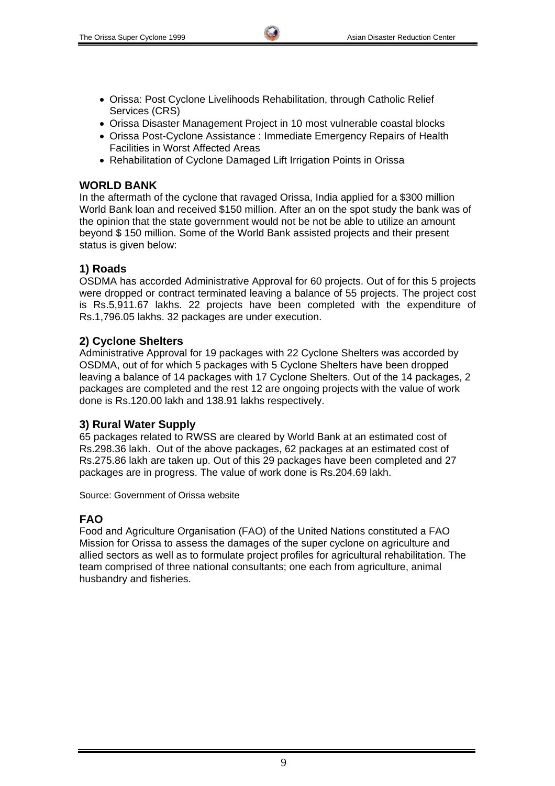- Orissa: Post Cyclone Livelihoods Rehabilitation, through Catholic Relief Services (CRS)
- Orissa Disaster Management Project in 10 most vulnerable coastal blocks
- Orissa Post-Cyclone Assistance : Immediate Emergency Repairs of Health Facilities in Worst Affected Areas
- Rehabilitation of Cyclone Damaged Lift Irrigation Points in Orissa

## **WORLD BANK**

In the aftermath of the cyclone that ravaged Orissa, India applied for a \$300 million World Bank loan and received \$150 million. After an on the spot study the bank was of the opinion that the state government would not be not be able to utilize an amount beyond \$ 150 million. Some of the World Bank assisted projects and their present status is given below:

# **1) Roads**

OSDMA has accorded Administrative Approval for 60 projects. Out of for this 5 projects were dropped or contract terminated leaving a balance of 55 projects. The project cost is Rs.5,911.67 lakhs. 22 projects have been completed with the expenditure of Rs.1,796.05 lakhs. 32 packages are under execution.

## **2) Cyclone Shelters**

Administrative Approval for 19 packages with 22 Cyclone Shelters was accorded by OSDMA, out of for which 5 packages with 5 Cyclone Shelters have been dropped leaving a balance of 14 packages with 17 Cyclone Shelters. Out of the 14 packages, 2 packages are completed and the rest 12 are ongoing projects with the value of work done is Rs.120.00 lakh and 138.91 lakhs respectively.

### **3) Rural Water Supply**

65 packages related to RWSS are cleared by World Bank at an estimated cost of Rs.298.36 lakh. Out of the above packages, 62 packages at an estimated cost of Rs.275.86 lakh are taken up. Out of this 29 packages have been completed and 27 packages are in progress. The value of work done is Rs.204.69 lakh.

Source: Government of Orissa website

# **FAO**

Food and Agriculture Organisation (FAO) of the United Nations constituted a FAO Mission for Orissa to assess the damages of the super cyclone on agriculture and allied sectors as well as to formulate project profiles for agricultural rehabilitation. The team comprised of three national consultants; one each from agriculture, animal husbandry and fisheries.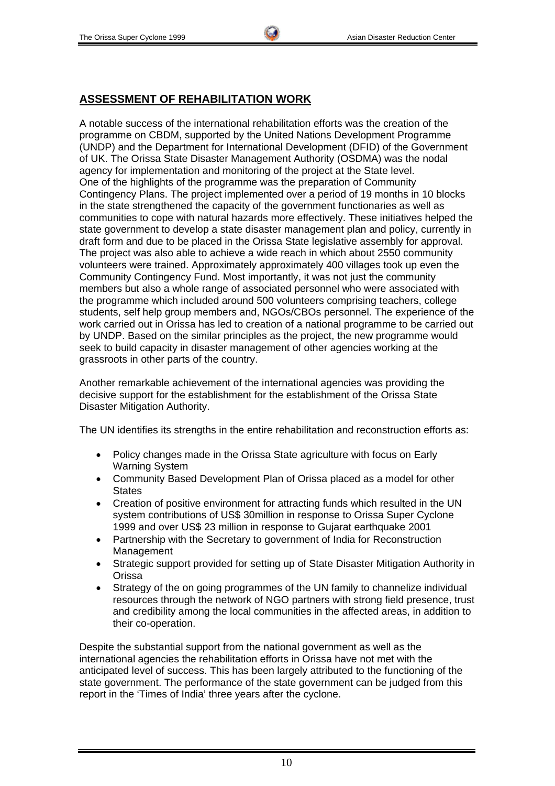## **ASSESSMENT OF REHABILITATION WORK**

A notable success of the international rehabilitation efforts was the creation of the programme on CBDM, supported by the United Nations Development Programme (UNDP) and the Department for International Development (DFID) of the Government of UK. The Orissa State Disaster Management Authority (OSDMA) was the nodal agency for implementation and monitoring of the project at the State level. One of the highlights of the programme was the preparation of Community Contingency Plans. The project implemented over a period of 19 months in 10 blocks in the state strengthened the capacity of the government functionaries as well as communities to cope with natural hazards more effectively. These initiatives helped the state government to develop a state disaster management plan and policy, currently in draft form and due to be placed in the Orissa State legislative assembly for approval. The project was also able to achieve a wide reach in which about 2550 community volunteers were trained. Approximately approximately 400 villages took up even the Community Contingency Fund. Most importantly, it was not just the community members but also a whole range of associated personnel who were associated with the programme which included around 500 volunteers comprising teachers, college students, self help group members and, NGOs/CBOs personnel. The experience of the work carried out in Orissa has led to creation of a national programme to be carried out by UNDP. Based on the similar principles as the project, the new programme would seek to build capacity in disaster management of other agencies working at the grassroots in other parts of the country.

Another remarkable achievement of the international agencies was providing the decisive support for the establishment for the establishment of the Orissa State Disaster Mitigation Authority.

The UN identifies its strengths in the entire rehabilitation and reconstruction efforts as:

- Policy changes made in the Orissa State agriculture with focus on Early Warning System
- Community Based Development Plan of Orissa placed as a model for other **States**
- Creation of positive environment for attracting funds which resulted in the UN system contributions of US\$ 30million in response to Orissa Super Cyclone 1999 and over US\$ 23 million in response to Gujarat earthquake 2001
- Partnership with the Secretary to government of India for Reconstruction Management
- Strategic support provided for setting up of State Disaster Mitigation Authority in Orissa
- Strategy of the on going programmes of the UN family to channelize individual resources through the network of NGO partners with strong field presence, trust and credibility among the local communities in the affected areas, in addition to their co-operation.

Despite the substantial support from the national government as well as the international agencies the rehabilitation efforts in Orissa have not met with the anticipated level of success. This has been largely attributed to the functioning of the state government. The performance of the state government can be judged from this report in the 'Times of India' three years after the cyclone.